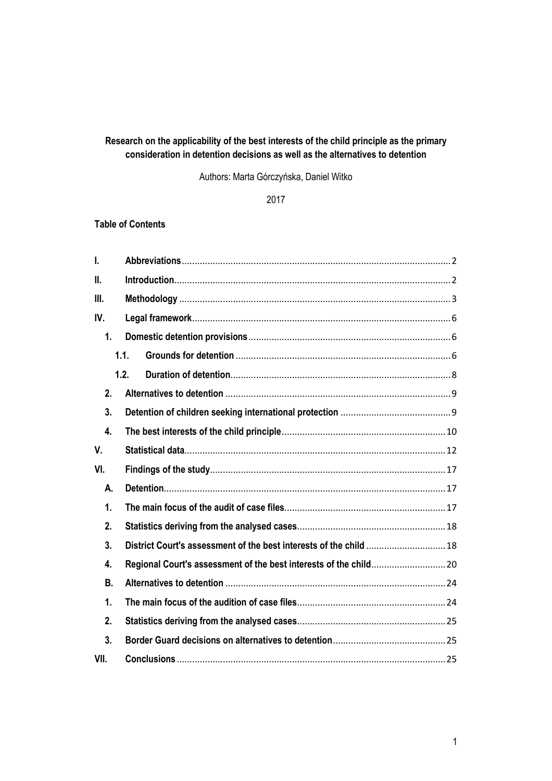# **Research on the applicability of the best interests of the child principle as the primary consideration in detention decisions as well as the alternatives to detention**

Authors: Marta Górczyńska, Daniel Witko

2017

## **Table of Contents**

| I.        |      |  |  |  |  |
|-----------|------|--|--|--|--|
| II.       |      |  |  |  |  |
| Ш.        |      |  |  |  |  |
| IV.       |      |  |  |  |  |
| 1.        |      |  |  |  |  |
|           | 1.1. |  |  |  |  |
|           | 1.2. |  |  |  |  |
| 2.        |      |  |  |  |  |
| 3.        |      |  |  |  |  |
| 4.        |      |  |  |  |  |
| V.        |      |  |  |  |  |
| VI.       |      |  |  |  |  |
| А.        |      |  |  |  |  |
| 1.        |      |  |  |  |  |
| 2.        |      |  |  |  |  |
| 3.        |      |  |  |  |  |
| 4.        |      |  |  |  |  |
| <b>B.</b> |      |  |  |  |  |
| 1.        |      |  |  |  |  |
| 2.        |      |  |  |  |  |
| 3.        |      |  |  |  |  |
| VII.      |      |  |  |  |  |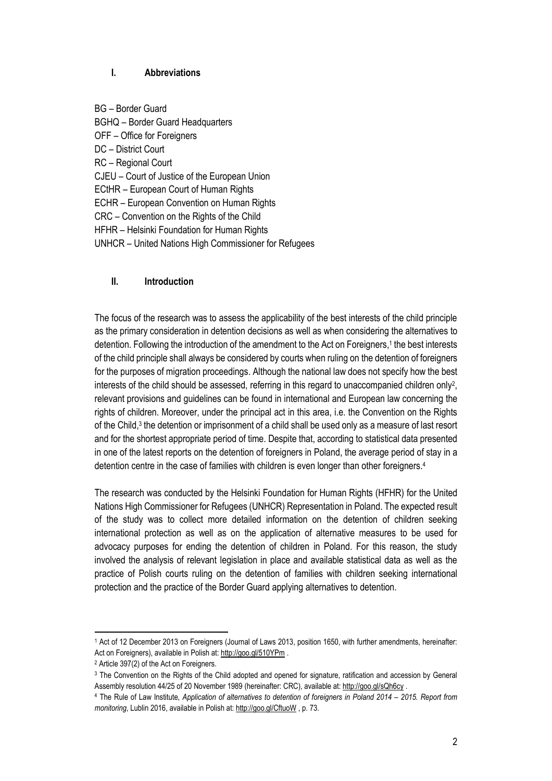### <span id="page-1-0"></span>**I. Abbreviations**

BG – Border Guard BGHQ – Border Guard Headquarters OFF – Office for Foreigners DC – District Court RC – Regional Court CJEU – Court of Justice of the European Union ECtHR – European Court of Human Rights ECHR – European Convention on Human Rights CRC – Convention on the Rights of the Child HFHR – Helsinki Foundation for Human Rights UNHCR – United Nations High Commissioner for Refugees

### <span id="page-1-1"></span>**II. Introduction**

The focus of the research was to assess the applicability of the best interests of the child principle as the primary consideration in detention decisions as well as when considering the alternatives to detention. Following the introduction of the amendment to the Act on Foreigners, 1 the best interests of the child principle shall always be considered by courts when ruling on the detention of foreigners for the purposes of migration proceedings. Although the national law does not specify how the best interests of the child should be assessed, referring in this regard to unaccompanied children only<sup>2</sup>, relevant provisions and guidelines can be found in international and European law concerning the rights of children. Moreover, under the principal act in this area, i.e. the Convention on the Rights of the Child,<sup>3</sup> the detention or imprisonment of a child shall be used only as a measure of last resort and for the shortest appropriate period of time. Despite that, according to statistical data presented in one of the latest reports on the detention of foreigners in Poland, the average period of stay in a detention centre in the case of families with children is even longer than other foreigners. 4

The research was conducted by the Helsinki Foundation for Human Rights (HFHR) for the United Nations High Commissioner for Refugees (UNHCR) Representation in Poland. The expected result of the study was to collect more detailed information on the detention of children seeking international protection as well as on the application of alternative measures to be used for advocacy purposes for ending the detention of children in Poland. For this reason, the study involved the analysis of relevant legislation in place and available statistical data as well as the practice of Polish courts ruling on the detention of families with children seeking international protection and the practice of the Border Guard applying alternatives to detention.

 $\overline{\phantom{a}}$ 

<sup>1</sup> Act of 12 December 2013 on Foreigners (Journal of Laws 2013, position 1650, with further amendments, hereinafter: Act on Foreigners), available in Polish at[: http://goo.gl/510YPm](http://goo.gl/510YPm) .

<sup>2</sup> Article 397(2) of the Act on Foreigners.

<sup>3</sup> The Convention on the Rights of the Child adopted and opened for signature, ratification and accession by General Assembly resolution 44/25 of 20 November 1989 (hereinafter: CRC), available at[: http://goo.gl/sQh6cy](http://goo.gl/sQh6cy) .

<sup>4</sup> The Rule of Law Institute, *Application of alternatives to detention of foreigners in Poland 2014 – 2015. Report from monitoring*, Lublin 2016, available in Polish at[: http://goo.gl/CftuoW](http://panstwoprawa.org/wp-content/uploads/2016/09/Stosowanie-alternatyw-do-detencji-cudzoziemcow_całość.pdf) , p. 73.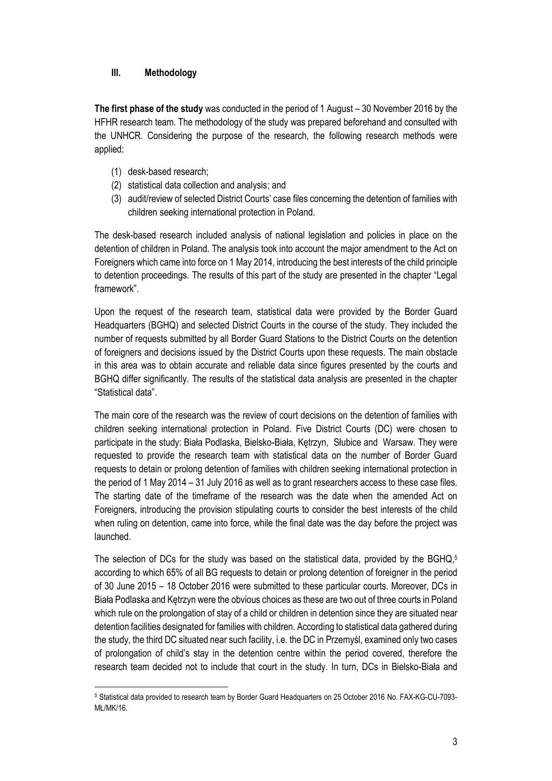### <span id="page-2-0"></span>**III. Methodology**

**The first phase of the study** was conducted in the period of 1 August – 30 November 2016 by the HFHR research team. The methodology of the study was prepared beforehand and consulted with the UNHCR. Considering the purpose of the research, the following research methods were applied:

- (1) desk-based research;
- (2) statistical data collection and analysis; and
- (3) audit/review of selected District Courts' case files concerning the detention of families with children seeking international protection in Poland.

The desk-based research included analysis of national legislation and policies in place on the detention of children in Poland. The analysis took into account the major amendment to the Act on Foreigners which came into force on 1 May 2014, introducing the best interests of the child principle to detention proceedings. The results of this part of the study are presented in the chapter "Legal framework".

Upon the request of the research team, statistical data were provided by the Border Guard Headquarters (BGHQ) and selected District Courts in the course of the study. They included the number of requests submitted by all Border Guard Stations to the District Courts on the detention of foreigners and decisions issued by the District Courts upon these requests. The main obstacle in this area was to obtain accurate and reliable data since figures presented by the courts and BGHQ differ significantly. The results of the statistical data analysis are presented in the chapter "Statistical data".

The main core of the research was the review of court decisions on the detention of families with children seeking international protection in Poland. Five District Courts (DC) were chosen to participate in the study: Biała Podlaska, Bielsko-Biała, Kętrzyn, Słubice and Warsaw. They were requested to provide the research team with statistical data on the number of Border Guard requests to detain or prolong detention of families with children seeking international protection in the period of 1 May 2014 – 31 July 2016 as well as to grant researchers access to these case files. The starting date of the timeframe of the research was the date when the amended Act on Foreigners, introducing the provision stipulating courts to consider the best interests of the child when ruling on detention, came into force, while the final date was the day before the project was launched.

The selection of DCs for the study was based on the statistical data, provided by the BGHQ, 5 according to which 65% of all BG requests to detain or prolong detention of foreigner in the period of 30 June 2015 – 18 October 2016 were submitted to these particular courts. Moreover, DCs in Biała Podlaska and Kętrzyn were the obvious choices as these are two out of three courts in Poland which rule on the prolongation of stay of a child or children in detention since they are situated near detention facilities designated for families with children. According to statistical data gathered during the study, the third DC situated near such facility, i.e. the DC in Przemyśl, examined only two cases of prolongation of child's stay in the detention centre within the period covered, therefore the research team decided not to include that court in the study. In turn, DCs in Bielsko-Biała and

 $\overline{a}$ <sup>5</sup> Statistical data provided to research team by Border Guard Headquarters on 25 October 2016 No. FAX-KG-CU-7093- MŁ/MK/16.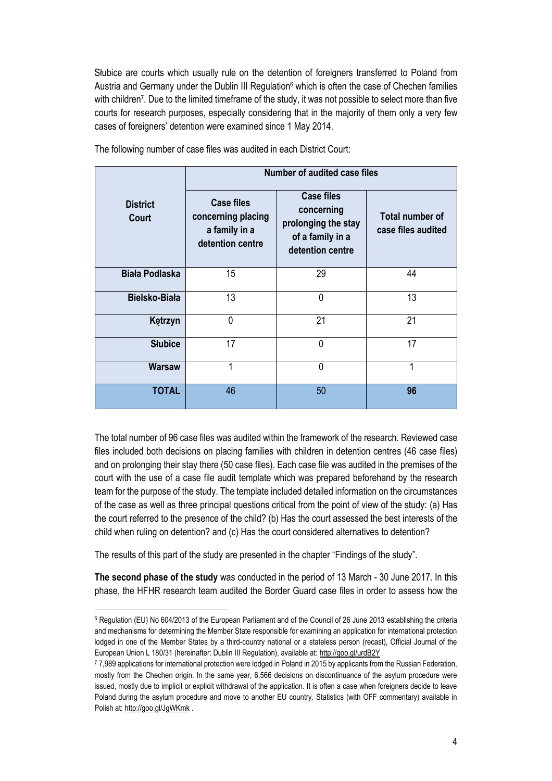Słubice are courts which usually rule on the detention of foreigners transferred to Poland from Austria and Germany under the Dublin III Regulation<sup>6</sup> which is often the case of Chechen families with children<sup>7</sup> . Due to the limited timeframe of the study, it was not possible to select more than five courts for research purposes, especially considering that in the majority of them only a very few cases of foreigners' detention were examined since 1 May 2014.

|                                 | <b>Number of audited case files</b>                                          |                                                                                                |                                              |  |
|---------------------------------|------------------------------------------------------------------------------|------------------------------------------------------------------------------------------------|----------------------------------------------|--|
| <b>District</b><br><b>Court</b> | <b>Case files</b><br>concerning placing<br>a family in a<br>detention centre | <b>Case files</b><br>concerning<br>prolonging the stay<br>of a family in a<br>detention centre | <b>Total number of</b><br>case files audited |  |
| Biała Podlaska                  | 15                                                                           | 29                                                                                             | 44                                           |  |
| Bielsko-Biała                   | 13                                                                           | $\mathbf 0$                                                                                    | 13                                           |  |
| Kętrzyn                         | 0                                                                            | 21                                                                                             | 21                                           |  |
| <b>Słubice</b>                  | 17                                                                           | 0                                                                                              | 17                                           |  |
| <b>Warsaw</b>                   | 1                                                                            | 0                                                                                              | 1                                            |  |
| <b>TOTAL</b>                    | 46                                                                           | 50                                                                                             | 96                                           |  |

The following number of case files was audited in each District Court:

The total number of 96 case files was audited within the framework of the research. Reviewed case files included both decisions on placing families with children in detention centres (46 case files) and on prolonging their stay there (50 case files). Each case file was audited in the premises of the court with the use of a case file audit template which was prepared beforehand by the research team for the purpose of the study. The template included detailed information on the circumstances of the case as well as three principal questions critical from the point of view of the study: (a) Has the court referred to the presence of the child? (b) Has the court assessed the best interests of the child when ruling on detention? and (c) Has the court considered alternatives to detention?

The results of this part of the study are presented in the chapter "Findings of the study".

 $\overline{a}$ 

**The second phase of the study** was conducted in the period of 13 March - 30 June 2017. In this phase, the HFHR research team audited the Border Guard case files in order to assess how the

<sup>6</sup> Regulation (EU) No 604/2013 of the European Parliament and of the Council of 26 June 2013 establishing the criteria and mechanisms for determining the Member State responsible for examining an application for international protection lodged in one of the Member States by a third-country national or a stateless person (recast), Official Journal of the European Union L 180/31 (hereinafter: Dublin III Regulation), available at[: http://goo.gl/urdB2Y](http://goo.gl/urdB2Y) .

<sup>7</sup> 7,989 applications for international protection were lodged in Poland in 2015 by applicants from the Russian Federation, mostly from the Chechen origin. In the same year, 6,566 decisions on discontinuance of the asylum procedure were issued, mostly due to implicit or explicit withdrawal of the application. It is often a case when foreigners decide to leave Poland during the asylum procedure and move to another EU country. Statistics (with OFF commentary) available in Polish at[: http://goo.gl/JgWKmk](http://goo.gl/JgWKmk) .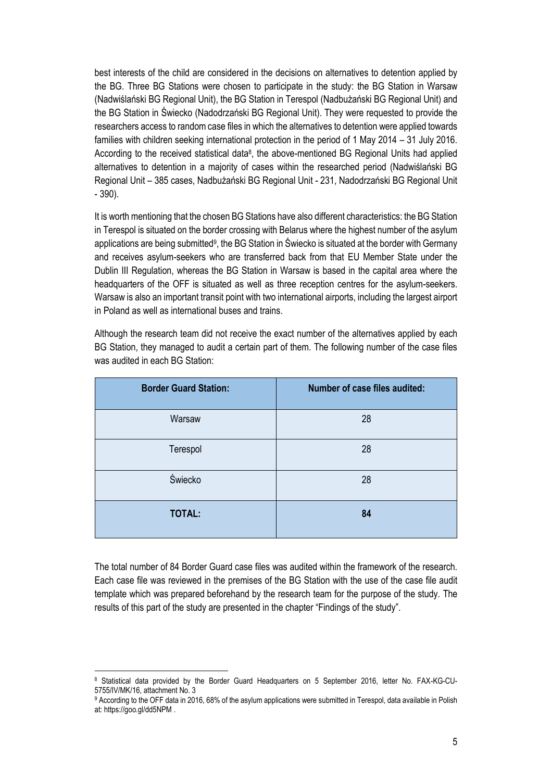best interests of the child are considered in the decisions on alternatives to detention applied by the BG. Three BG Stations were chosen to participate in the study: the BG Station in Warsaw (Nadwiślański BG Regional Unit), the BG Station in Terespol (Nadbużański BG Regional Unit) and the BG Station in Świecko (Nadodrzański BG Regional Unit). They were requested to provide the researchers access to random case files in which the alternatives to detention were applied towards families with children seeking international protection in the period of 1 May 2014 – 31 July 2016. According to the received statistical data<sup>8</sup>, the above-mentioned BG Regional Units had applied alternatives to detention in a majority of cases within the researched period (Nadwiślański BG Regional Unit – 385 cases, Nadbużański BG Regional Unit - 231, Nadodrzański BG Regional Unit - 390).

It is worth mentioning that the chosen BG Stations have also different characteristics: the BG Station in Terespol is situated on the border crossing with Belarus where the highest number of the asylum applications are being submitted<sup>9</sup>, the BG Station in Swiecko is situated at the border with Germany and receives asylum-seekers who are transferred back from that EU Member State under the Dublin III Regulation, whereas the BG Station in Warsaw is based in the capital area where the headquarters of the OFF is situated as well as three reception centres for the asylum-seekers. Warsaw is also an important transit point with two international airports, including the largest airport in Poland as well as international buses and trains.

Although the research team did not receive the exact number of the alternatives applied by each BG Station, they managed to audit a certain part of them. The following number of the case files was audited in each BG Station:

| <b>Border Guard Station:</b> | Number of case files audited: |
|------------------------------|-------------------------------|
| Warsaw                       | 28                            |
| Terespol                     | 28                            |
| Świecko                      | 28                            |
| <b>TOTAL:</b>                | 84                            |

The total number of 84 Border Guard case files was audited within the framework of the research. Each case file was reviewed in the premises of the BG Station with the use of the case file audit template which was prepared beforehand by the research team for the purpose of the study. The results of this part of the study are presented in the chapter "Findings of the study".

 $\overline{a}$ <sup>8</sup> Statistical data provided by the Border Guard Headquarters on 5 September 2016, letter No. FAX-KG-CU-5755/IV/MK/16, attachment No. 3

<sup>9</sup> According to the OFF data in 2016, 68% of the asylum applications were submitted in Terespol, data available in Polish at: https://goo.gl/dd5NPM .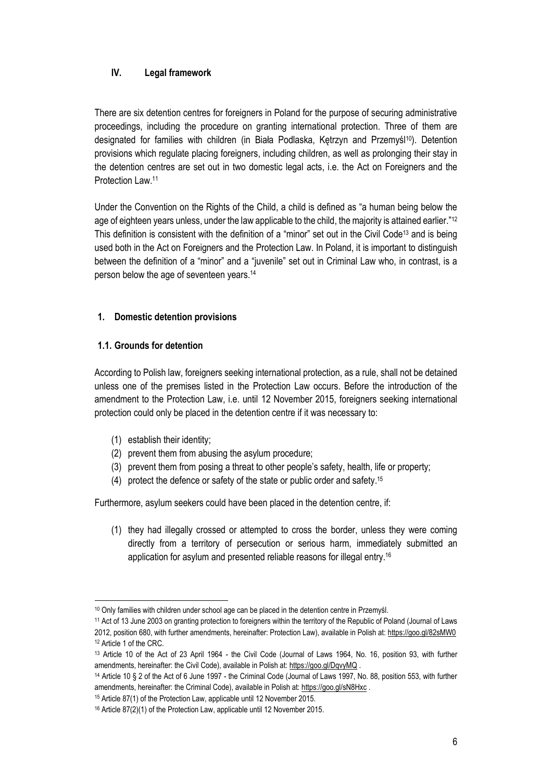## <span id="page-5-0"></span>**IV. Legal framework**

There are six detention centres for foreigners in Poland for the purpose of securing administrative proceedings, including the procedure on granting international protection. Three of them are designated for families with children (in Biała Podlaska, Ketrzyn and Przemyśl<sup>10</sup>). Detention provisions which regulate placing foreigners, including children, as well as prolonging their stay in the detention centres are set out in two domestic legal acts, i.e. the Act on Foreigners and the Protection Law. 11

Under the Convention on the Rights of the Child, a child is defined as "a human being below the age of eighteen years unless, under the law applicable to the child, the majority is attained earlier."<sup>12</sup> This definition is consistent with the definition of a "minor" set out in the Civil Code<sup>13</sup> and is being used both in the Act on Foreigners and the Protection Law. In Poland, it is important to distinguish between the definition of a "minor" and a "juvenile" set out in Criminal Law who, in contrast, is a person below the age of seventeen years. 14

### <span id="page-5-1"></span>**1. Domestic detention provisions**

## <span id="page-5-2"></span>**1.1. Grounds for detention**

According to Polish law, foreigners seeking international protection, as a rule, shall not be detained unless one of the premises listed in the Protection Law occurs. Before the introduction of the amendment to the Protection Law, i.e. until 12 November 2015, foreigners seeking international protection could only be placed in the detention centre if it was necessary to:

- (1) establish their identity;
- (2) prevent them from abusing the asylum procedure;
- (3) prevent them from posing a threat to other people's safety, health, life or property;
- (4) protect the defence or safety of the state or public order and safety. 15

Furthermore, asylum seekers could have been placed in the detention centre, if:

(1) they had illegally crossed or attempted to cross the border, unless they were coming directly from a territory of persecution or serious harm, immediately submitted an application for asylum and presented reliable reasons for illegal entry. 16

 $\overline{a}$ <sup>10</sup> Only families with children under school age can be placed in the detention centre in Przemyśl.

<sup>11</sup> Act of 13 June 2003 on granting protection to foreigners within the territory of the Republic of Poland (Journal of Laws 2012, position 680, with further amendments, hereinafter: Protection Law), available in Polish at:<https://goo.gl/82sMW0> 12 Article 1 of the CRC.

<sup>13</sup> Article 10 of the Act of 23 April 1964 - the Civil Code (Journal of Laws 1964, No. 16, position 93, with further amendments, hereinafter: the Civil Code), available in Polish at:<https://goo.gl/DqvyMQ> .

<sup>14</sup> Article 10 § 2 of the Act of 6 June 1997 - the Criminal Code (Journal of Laws 1997, No. 88, position 553, with further amendments, hereinafter: the Criminal Code), available in Polish at:<https://goo.gl/sN8Hxc>.

<sup>15</sup> Article 87(1) of the Protection Law, applicable until 12 November 2015.

<sup>16</sup> Article 87(2)(1) of the Protection Law, applicable until 12 November 2015.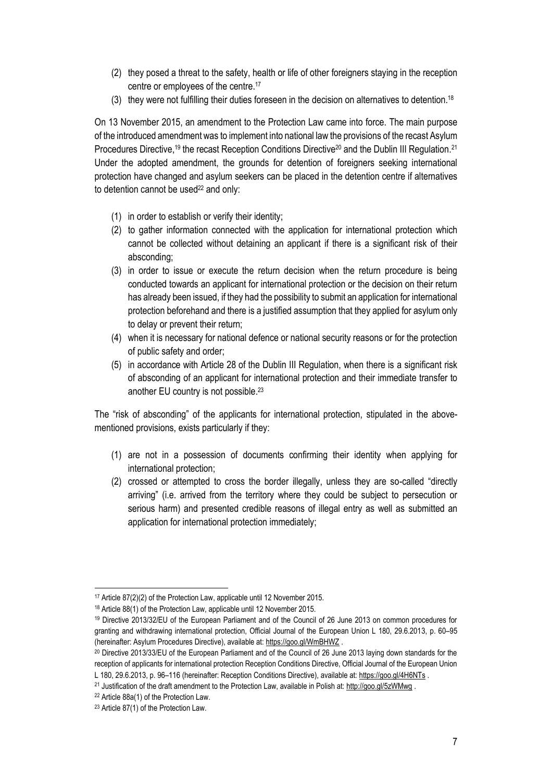- (2) they posed a threat to the safety, health or life of other foreigners staying in the reception centre or employees of the centre. 17
- (3) they were not fulfilling their duties foreseen in the decision on alternatives to detention. 18

On 13 November 2015, an amendment to the Protection Law came into force. The main purpose of the introduced amendment was to implement into national law the provisions of the recast Asylum Procedures Directive,<sup>19</sup> the recast Reception Conditions Directive<sup>20</sup> and the Dublin III Regulation.<sup>21</sup> Under the adopted amendment, the grounds for detention of foreigners seeking international protection have changed and asylum seekers can be placed in the detention centre if alternatives to detention cannot be used<sup>22</sup> and only:

- (1) in order to establish or verify their identity;
- (2) to gather information connected with the application for international protection which cannot be collected without detaining an applicant if there is a significant risk of their absconding;
- (3) in order to issue or execute the return decision when the return procedure is being conducted towards an applicant for international protection or the decision on their return has already been issued, if they had the possibility to submit an application for international protection beforehand and there is a justified assumption that they applied for asylum only to delay or prevent their return;
- (4) when it is necessary for national defence or national security reasons or for the protection of public safety and order;
- (5) in accordance with Article 28 of the Dublin III Regulation, when there is a significant risk of absconding of an applicant for international protection and their immediate transfer to another EU country is not possible. 23

The "risk of absconding" of the applicants for international protection, stipulated in the abovementioned provisions, exists particularly if they:

- (1) are not in a possession of documents confirming their identity when applying for international protection;
- (2) crossed or attempted to cross the border illegally, unless they are so-called "directly arriving" (i.e. arrived from the territory where they could be subject to persecution or serious harm) and presented credible reasons of illegal entry as well as submitted an application for international protection immediately;

 $\overline{a}$ <sup>17</sup> Article 87(2)(2) of the Protection Law, applicable until 12 November 2015.

<sup>18</sup> Article 88(1) of the Protection Law, applicable until 12 November 2015.

<sup>19</sup> Directive 2013/32/EU of the European Parliament and of the Council of 26 June 2013 on common procedures for granting and withdrawing international protection, Official Journal of the European Union L 180, 29.6.2013, p. 60–95 (hereinafter: Asylum Procedures Directive), available at[: https://goo.gl/WmBHWZ](https://goo.gl/WmBHWZ) .

<sup>20</sup> Directive 2013/33/EU of the European Parliament and of the Council of 26 June 2013 laying down standards for the reception of applicants for international protection Reception Conditions Directive, Official Journal of the European Union L 180, 29.6.2013, p. 96-116 (hereinafter: Reception Conditions Directive), available at[: https://goo.gl/4H6NTs](https://goo.gl/4H6NTs).

<sup>21</sup> Justification of the draft amendment to the Protection Law, available in Polish at[: http://goo.gl/5zWMwg](http://goo.gl/5zWMwg) .

<sup>22</sup> Article 88a(1) of the Protection Law.

<sup>23</sup> Article 87(1) of the Protection Law.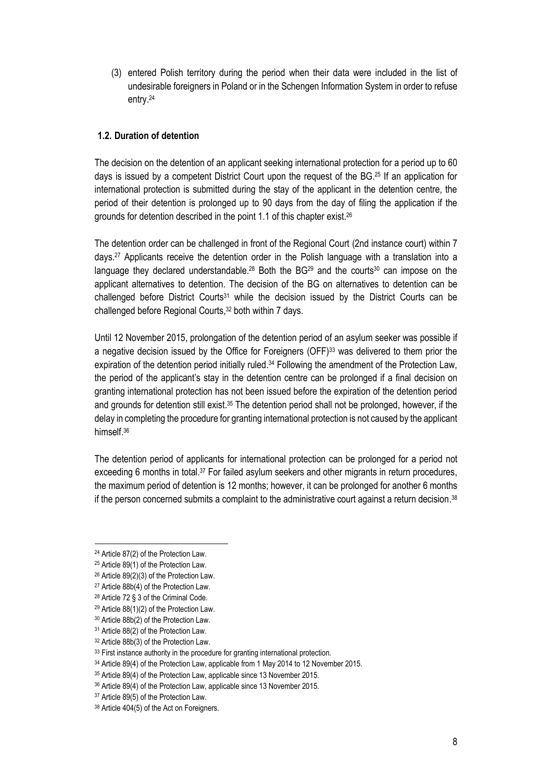(3) entered Polish territory during the period when their data were included in the list of undesirable foreigners in Poland or in the Schengen Information System in order to refuse entry. 24

### <span id="page-7-0"></span>**1.2. Duration of detention**

The decision on the detention of an applicant seeking international protection for a period up to 60 days is issued by a competent District Court upon the request of the BG. <sup>25</sup> If an application for international protection is submitted during the stay of the applicant in the detention centre, the period of their detention is prolonged up to 90 days from the day of filing the application if the grounds for detention described in the point 1.1 of this chapter exist. 26

The detention order can be challenged in front of the Regional Court (2nd instance court) within 7 days. <sup>27</sup> Applicants receive the detention order in the Polish language with a translation into a language they declared understandable.<sup>28</sup> Both the BG<sup>29</sup> and the courts<sup>30</sup> can impose on the applicant alternatives to detention. The decision of the BG on alternatives to detention can be challenged before District Courts<sup>31</sup> while the decision issued by the District Courts can be challenged before Regional Courts, <sup>32</sup> both within 7 days.

Until 12 November 2015, prolongation of the detention period of an asylum seeker was possible if a negative decision issued by the Office for Foreigners (OFF)<sup>33</sup> was delivered to them prior the expiration of the detention period initially ruled.<sup>34</sup> Following the amendment of the Protection Law, the period of the applicant's stay in the detention centre can be prolonged if a final decision on granting international protection has not been issued before the expiration of the detention period and grounds for detention still exist.<sup>35</sup> The detention period shall not be prolonged, however, if the delay in completing the procedure for granting international protection is not caused by the applicant himself. 36

The detention period of applicants for international protection can be prolonged for a period not exceeding 6 months in total.<sup>37</sup> For failed asylum seekers and other migrants in return procedures, the maximum period of detention is 12 months; however, it can be prolonged for another 6 months if the person concerned submits a complaint to the administrative court against a return decision.<sup>38</sup>

 $\overline{a}$ <sup>24</sup> Article 87(2) of the Protection Law.

<sup>25</sup> Article 89(1) of the Protection Law.

<sup>26</sup> Article 89(2)(3) of the Protection Law.

<sup>27</sup> Article 88b(4) of the Protection Law.

<sup>28</sup> Article 72 § 3 of the Criminal Code.

<sup>29</sup> Article 88(1)(2) of the Protection Law.

<sup>30</sup> Article 88b(2) of the Protection Law.

<sup>31</sup> Article 88(2) of the Protection Law.

<sup>32</sup> Article 88b(3) of the Protection Law.

<sup>33</sup> First instance authority in the procedure for granting international protection.

<sup>34</sup> Article 89(4) of the Protection Law, applicable from 1 May 2014 to 12 November 2015.

<sup>35</sup> Article 89(4) of the Protection Law, applicable since 13 November 2015.

<sup>36</sup> Article 89(4) of the Protection Law, applicable since 13 November 2015.

<sup>37</sup> Article 89(5) of the Protection Law.

<sup>38</sup> Article 404(5) of the Act on Foreigners.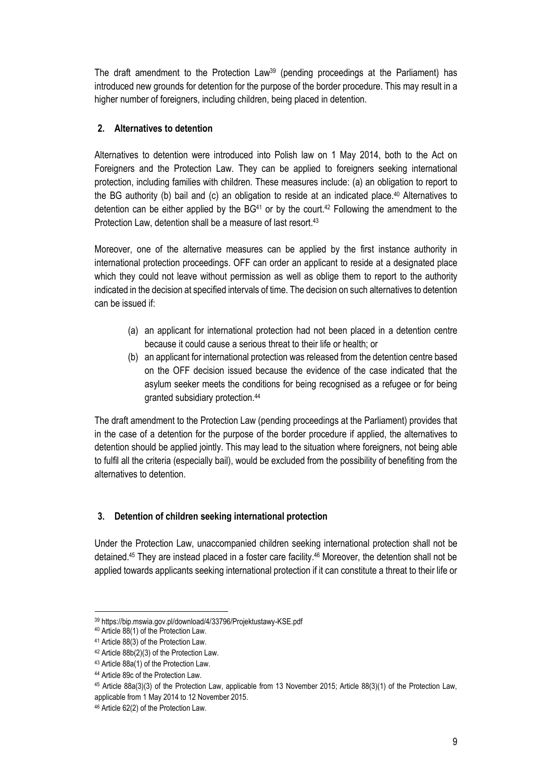The draft amendment to the Protection Law<sup>39</sup> (pending proceedings at the Parliament) has introduced new grounds for detention for the purpose of the border procedure. This may result in a higher number of foreigners, including children, being placed in detention.

## <span id="page-8-0"></span>**2. Alternatives to detention**

Alternatives to detention were introduced into Polish law on 1 May 2014, both to the Act on Foreigners and the Protection Law. They can be applied to foreigners seeking international protection, including families with children. These measures include: (a) an obligation to report to the BG authority (b) bail and (c) an obligation to reside at an indicated place. <sup>40</sup> Alternatives to detention can be either applied by the BG<sup>41</sup> or by the court.<sup>42</sup> Following the amendment to the Protection Law, detention shall be a measure of last resort. 43

Moreover, one of the alternative measures can be applied by the first instance authority in international protection proceedings. OFF can order an applicant to reside at a designated place which they could not leave without permission as well as oblige them to report to the authority indicated in the decision at specified intervals of time. The decision on such alternatives to detention can be issued if:

- (a) an applicant for international protection had not been placed in a detention centre because it could cause a serious threat to their life or health; or
- (b) an applicant for international protection was released from the detention centre based on the OFF decision issued because the evidence of the case indicated that the asylum seeker meets the conditions for being recognised as a refugee or for being granted subsidiary protection. 44

The draft amendment to the Protection Law (pending proceedings at the Parliament) provides that in the case of a detention for the purpose of the border procedure if applied, the alternatives to detention should be applied jointly. This may lead to the situation where foreigners, not being able to fulfil all the criteria (especially bail), would be excluded from the possibility of benefiting from the alternatives to detention.

## <span id="page-8-1"></span>**3. Detention of children seeking international protection**

Under the Protection Law, unaccompanied children seeking international protection shall not be detained. <sup>45</sup> They are instead placed in a foster care facility. <sup>46</sup> Moreover, the detention shall not be applied towards applicants seeking international protection if it can constitute a threat to their life or

 $\overline{a}$ <sup>39</sup> https://bip.mswia.gov.pl/download/4/33796/Projektustawy-KSE.pdf

<sup>40</sup> Article 88(1) of the Protection Law.

<sup>41</sup> Article 88(3) of the Protection Law.

<sup>42</sup> Article 88b(2)(3) of the Protection Law.

<sup>43</sup> Article 88a(1) of the Protection Law.

<sup>44</sup> Article 89c of the Protection Law.

<sup>45</sup> Article 88a(3)(3) of the Protection Law, applicable from 13 November 2015; Article 88(3)(1) of the Protection Law, applicable from 1 May 2014 to 12 November 2015.

<sup>46</sup> Article 62(2) of the Protection Law.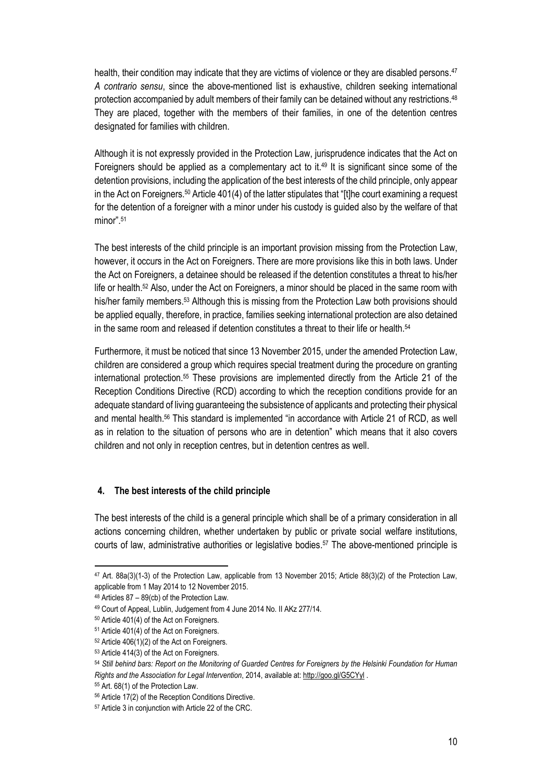health, their condition may indicate that they are victims of violence or they are disabled persons. 47 *A contrario sensu*, since the above-mentioned list is exhaustive, children seeking international protection accompanied by adult members of their family can be detained without any restrictions. 48 They are placed, together with the members of their families, in one of the detention centres designated for families with children.

Although it is not expressly provided in the Protection Law, jurisprudence indicates that the Act on Foreigners should be applied as a complementary act to it. <sup>49</sup> It is significant since some of the detention provisions, including the application of the best interests of the child principle, only appear in the Act on Foreigners. <sup>50</sup> Article 401(4) of the latter stipulates that "[t]he court examining a request for the detention of a foreigner with a minor under his custody is guided also by the welfare of that minor". 51

The best interests of the child principle is an important provision missing from the Protection Law, however, it occurs in the Act on Foreigners. There are more provisions like this in both laws. Under the Act on Foreigners, a detainee should be released if the detention constitutes a threat to his/her life or health. <sup>52</sup> Also, under the Act on Foreigners, a minor should be placed in the same room with his/her family members. <sup>53</sup> Although this is missing from the Protection Law both provisions should be applied equally, therefore, in practice, families seeking international protection are also detained in the same room and released if detention constitutes a threat to their life or health. 54

Furthermore, it must be noticed that since 13 November 2015, under the amended Protection Law, children are considered a group which requires special treatment during the procedure on granting international protection. <sup>55</sup> These provisions are implemented directly from the Article 21 of the Reception Conditions Directive (RCD) according to which the reception conditions provide for an adequate standard of living guaranteeing the subsistence of applicants and protecting their physical and mental health. <sup>56</sup> This standard is implemented "in accordance with Article 21 of RCD, as well as in relation to the situation of persons who are in detention" which means that it also covers children and not only in reception centres, but in detention centres as well.

### <span id="page-9-0"></span>**4. The best interests of the child principle**

The best interests of the child is a general principle which shall be of a primary consideration in all actions concerning children, whether undertaken by public or private social welfare institutions, courts of law, administrative authorities or legislative bodies. <sup>57</sup> The above-mentioned principle is

<sup>47</sup> Art. 88a(3)(1-3) of the Protection Law, applicable from 13 November 2015; Article 88(3)(2) of the Protection Law, applicable from 1 May 2014 to 12 November 2015.

<sup>48</sup> Articles 87 – 89(cb) of the Protection Law.

<sup>49</sup> Court of Appeal, Lublin, Judgement from 4 June 2014 No. II AKz 277/14.

<sup>50</sup> Article 401(4) of the Act on Foreigners.

<sup>51</sup> Article 401(4) of the Act on Foreigners.

<sup>52</sup> Article 406(1)(2) of the Act on Foreigners.

<sup>53</sup> Article 414(3) of the Act on Foreigners.

<sup>54</sup> *Still behind bars: Report on the Monitoring of Guarded Centres for Foreigners by the Helsinki Foundation for Human Rights and the Association for Legal Intervention*, 2014, available at:<http://goo.gl/G5CYyl> .

<sup>55</sup> Art. 68(1) of the Protection Law.

<sup>56</sup> Article 17(2) of the Reception Conditions Directive.

<sup>57</sup> Article 3 in conjunction with Article 22 of the CRC.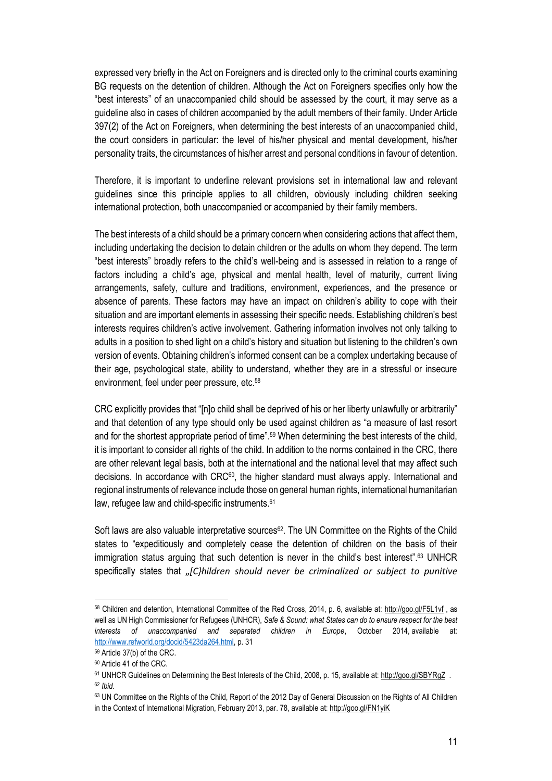expressed very briefly in the Act on Foreigners and is directed only to the criminal courts examining BG requests on the detention of children. Although the Act on Foreigners specifies only how the "best interests" of an unaccompanied child should be assessed by the court, it may serve as a guideline also in cases of children accompanied by the adult members of their family. Under Article 397(2) of the Act on Foreigners, when determining the best interests of an unaccompanied child, the court considers in particular: the level of his/her physical and mental development, his/her personality traits, the circumstances of his/her arrest and personal conditions in favour of detention.

Therefore, it is important to underline relevant provisions set in international law and relevant guidelines since this principle applies to all children, obviously including children seeking international protection, both unaccompanied or accompanied by their family members.

The best interests of a child should be a primary concern when considering actions that affect them, including undertaking the decision to detain children or the adults on whom they depend. The term "best interests" broadly refers to the child's well-being and is assessed in relation to a range of factors including a child's age, physical and mental health, level of maturity, current living arrangements, safety, culture and traditions, environment, experiences, and the presence or absence of parents. These factors may have an impact on children's ability to cope with their situation and are important elements in assessing their specific needs. Establishing children's best interests requires children's active involvement. Gathering information involves not only talking to adults in a position to shed light on a child's history and situation but listening to the children's own version of events. Obtaining children's informed consent can be a complex undertaking because of their age, psychological state, ability to understand, whether they are in a stressful or insecure environment, feel under peer pressure, etc.<sup>58</sup>

CRC explicitly provides that "[n]o child shall be deprived of his or her liberty unlawfully or arbitrarily" and that detention of any type should only be used against children as "a measure of last resort and for the shortest appropriate period of time".<sup>59</sup> When determining the best interests of the child, it is important to consider all rights of the child. In addition to the norms contained in the CRC, there are other relevant legal basis, both at the international and the national level that may affect such decisions. In accordance with CRC<sup>60</sup>, the higher standard must always apply. International and regional instruments of relevance include those on general human rights, international humanitarian law, refugee law and child-specific instruments.<sup>61</sup>

Soft laws are also valuable interpretative sources<sup>62</sup>. The UN Committee on the Rights of the Child states to "expeditiously and completely cease the detention of children on the basis of their immigration status arguing that such detention is never in the child's best interest". <sup>63</sup> UNHCR specifically states that "*[C}hildren should never be criminalized or subject to punitive* 

 $\overline{\phantom{a}}$ 

<sup>58</sup> Children and detention, International Committee of the Red Cross, 2014, p. 6, available at:<http://goo.gl/F5L1vf> , as well as UN High Commissioner for Refugees (UNHCR), *Safe & Sound: what States can do to ensure respect for the best interests of unaccompanied and separated children in Europe*, October 2014, available at: [http://www.refworld.org/docid/5423da264.html,](http://www.refworld.org/docid/5423da264.html) p. 31

<sup>59</sup> Article 37(b) of the CRC.

<sup>60</sup> Article 41 of the CRC.

<sup>&</sup>lt;sup>61</sup> UNHCR Guidelines on Determining the Best Interests of the Child, 2008, p. 15, available at[: http://goo.gl/SBYRgZ](http://goo.gl/SBYRgZ) .

<sup>62</sup> *Ibid.*

<sup>63</sup> UN Committee on the Rights of the Child, Report of the 2012 Day of General Discussion on the Rights of All Children in the Context of International Migration, February 2013, par. 78, available at[: http://goo.gl/FN1yiK](http://www2.ohchr.org/english/bodies/crc/docs/discussion2012/2012CRC_DGD-Childrens_Rights_InternationalMigration.pdf)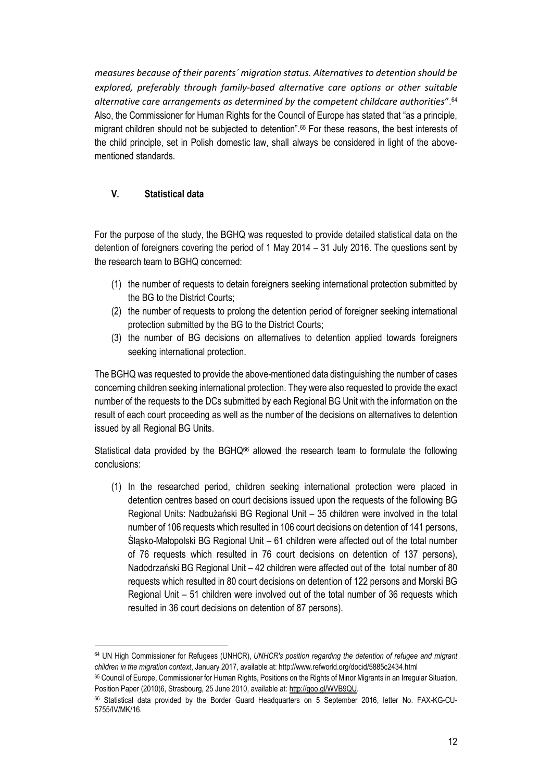*measures because of their parents´ migration status. Alternatives to detention should be explored, preferably through family-based alternative care options or other suitable alternative care arrangements as determined by the competent childcare authorities*"*.* 64 Also, the Commissioner for Human Rights for the Council of Europe has stated that "as a principle, migrant children should not be subjected to detention". <sup>65</sup> For these reasons, the best interests of the child principle, set in Polish domestic law, shall always be considered in light of the abovementioned standards.

## <span id="page-11-0"></span>**V. Statistical data**

For the purpose of the study, the BGHQ was requested to provide detailed statistical data on the detention of foreigners covering the period of 1 May 2014 – 31 July 2016. The questions sent by the research team to BGHQ concerned:

- (1) the number of requests to detain foreigners seeking international protection submitted by the BG to the District Courts;
- (2) the number of requests to prolong the detention period of foreigner seeking international protection submitted by the BG to the District Courts;
- (3) the number of BG decisions on alternatives to detention applied towards foreigners seeking international protection.

The BGHQ was requested to provide the above-mentioned data distinguishing the number of cases concerning children seeking international protection. They were also requested to provide the exact number of the requests to the DCs submitted by each Regional BG Unit with the information on the result of each court proceeding as well as the number of the decisions on alternatives to detention issued by all Regional BG Units.

Statistical data provided by the BGHQ<sup>66</sup> allowed the research team to formulate the following conclusions:

(1) In the researched period, children seeking international protection were placed in detention centres based on court decisions issued upon the requests of the following BG Regional Units: Nadbużański BG Regional Unit – 35 children were involved in the total number of 106 requests which resulted in 106 court decisions on detention of 141 persons, Śląsko-Małopolski BG Regional Unit – 61 children were affected out of the total number of 76 requests which resulted in 76 court decisions on detention of 137 persons), Nadodrzański BG Regional Unit – 42 children were affected out of the total number of 80 requests which resulted in 80 court decisions on detention of 122 persons and Morski BG Regional Unit – 51 children were involved out of the total number of 36 requests which resulted in 36 court decisions on detention of 87 persons).

 $\overline{\phantom{a}}$ <sup>64</sup> UN High Commissioner for Refugees (UNHCR), *UNHCR's position regarding the detention of refugee and migrant children in the migration context*, January 2017, available at: http://www.refworld.org/docid/5885c2434.html

<sup>65</sup> Council of Europe, Commissioner for Human Rights, Positions on the Rights of Minor Migrants in an Irregular Situation, Position Paper (2010)6, Strasbourg, 25 June 2010, available at: [http://goo.gl/WVB9QU.](https://wcd.coe.int/ViewDoc.jsp?p=&id=1654377&direct=true)

<sup>66</sup> Statistical data provided by the Border Guard Headquarters on 5 September 2016, letter No. FAX-KG-CU-5755/IV/MK/16.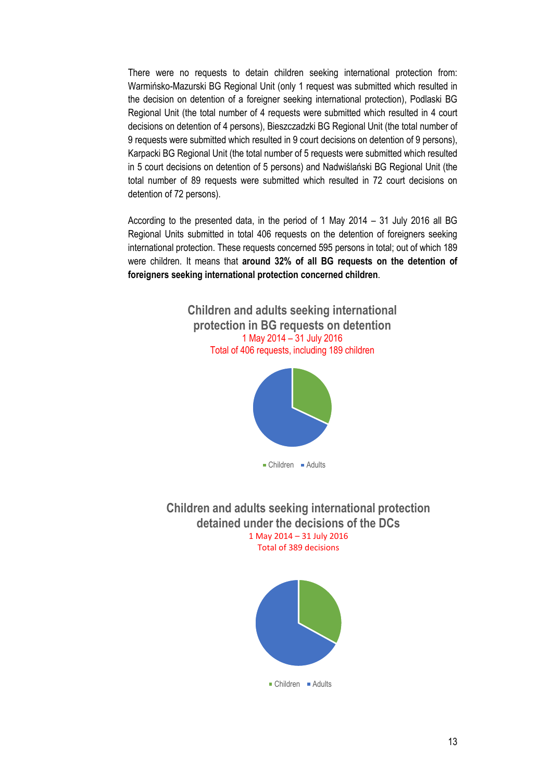There were no requests to detain children seeking international protection from: Warmińsko-Mazurski BG Regional Unit (only 1 request was submitted which resulted in the decision on detention of a foreigner seeking international protection), Podlaski BG Regional Unit (the total number of 4 requests were submitted which resulted in 4 court decisions on detention of 4 persons), Bieszczadzki BG Regional Unit (the total number of 9 requests were submitted which resulted in 9 court decisions on detention of 9 persons), Karpacki BG Regional Unit (the total number of 5 requests were submitted which resulted in 5 court decisions on detention of 5 persons) and Nadwiślański BG Regional Unit (the total number of 89 requests were submitted which resulted in 72 court decisions on detention of 72 persons).

According to the presented data, in the period of 1 May 2014 – 31 July 2016 all BG Regional Units submitted in total 406 requests on the detention of foreigners seeking international protection. These requests concerned 595 persons in total; out of which 189 were children. It means that **around 32% of all BG requests on the detention of foreigners seeking international protection concerned children**.

> **Children and adults seeking international protection in BG requests on detention** 1 May 2014 – 31 July 2016 Total of 406 requests, including 189 children



**Children and adults seeking international protection detained under the decisions of the DCs**

1 May 2014 – 31 July 2016 Total of 389 decisions



■ Children ■ Adults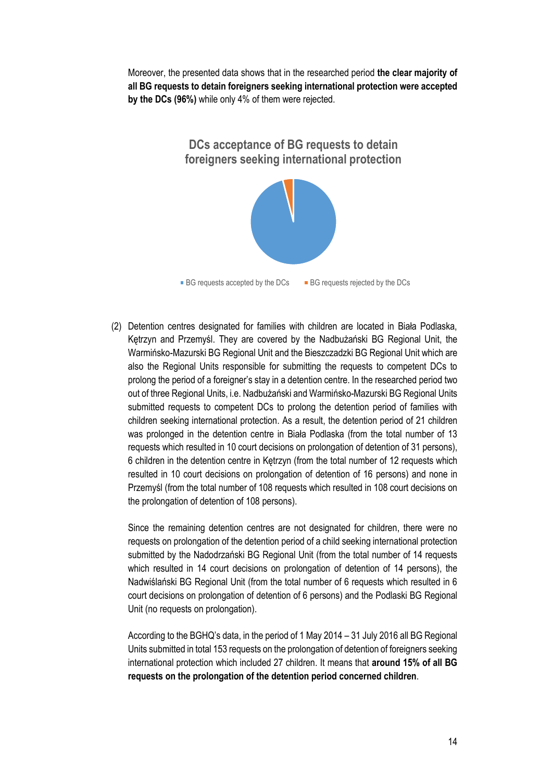Moreover, the presented data shows that in the researched period **the clear majority of all BG requests to detain foreigners seeking international protection were accepted by the DCs (96%)** while only 4% of them were rejected.

> **DCs acceptance of BG requests to detain foreigners seeking international protection**



(2) Detention centres designated for families with children are located in Biała Podlaska, Kętrzyn and Przemyśl. They are covered by the Nadbużański BG Regional Unit, the Warmińsko-Mazurski BG Regional Unit and the Bieszczadzki BG Regional Unit which are also the Regional Units responsible for submitting the requests to competent DCs to prolong the period of a foreigner's stay in a detention centre. In the researched period two out of three Regional Units, i.e. Nadbużański and Warmińsko-Mazurski BG Regional Units submitted requests to competent DCs to prolong the detention period of families with children seeking international protection. As a result, the detention period of 21 children was prolonged in the detention centre in Biała Podlaska (from the total number of 13 requests which resulted in 10 court decisions on prolongation of detention of 31 persons), 6 children in the detention centre in Kętrzyn (from the total number of 12 requests which resulted in 10 court decisions on prolongation of detention of 16 persons) and none in Przemyśl (from the total number of 108 requests which resulted in 108 court decisions on the prolongation of detention of 108 persons).

Since the remaining detention centres are not designated for children, there were no requests on prolongation of the detention period of a child seeking international protection submitted by the Nadodrzański BG Regional Unit (from the total number of 14 requests which resulted in 14 court decisions on prolongation of detention of 14 persons), the Nadwiślański BG Regional Unit (from the total number of 6 requests which resulted in 6 court decisions on prolongation of detention of 6 persons) and the Podlaski BG Regional Unit (no requests on prolongation).

According to the BGHQ's data, in the period of 1 May 2014 – 31 July 2016 all BG Regional Units submitted in total 153 requests on the prolongation of detention of foreigners seeking international protection which included 27 children. It means that **around 15% of all BG requests on the prolongation of the detention period concerned children**.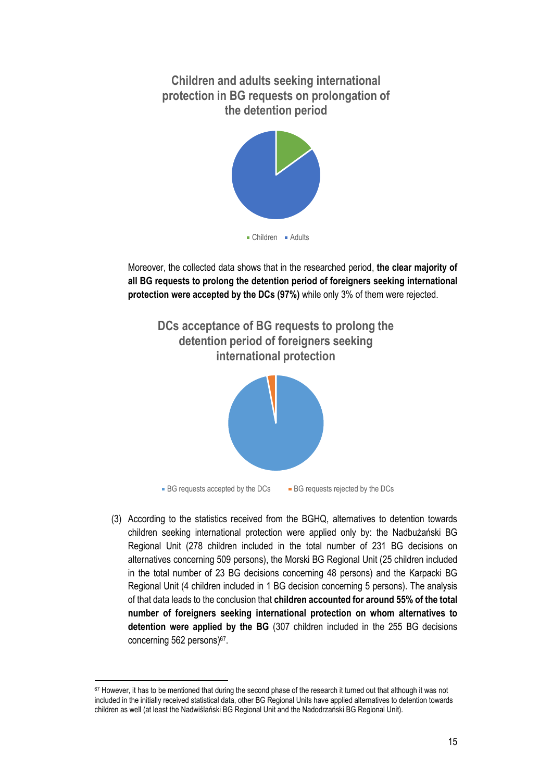**Children and adults seeking international protection in BG requests on prolongation of the detention period**



Moreover, the collected data shows that in the researched period, **the clear majority of all BG requests to prolong the detention period of foreigners seeking international protection were accepted by the DCs (97%)** while only 3% of them were rejected.



(3) According to the statistics received from the BGHQ, alternatives to detention towards children seeking international protection were applied only by: the Nadbużański BG Regional Unit (278 children included in the total number of 231 BG decisions on alternatives concerning 509 persons), the Morski BG Regional Unit (25 children included in the total number of 23 BG decisions concerning 48 persons) and the Karpacki BG Regional Unit (4 children included in 1 BG decision concerning 5 persons). The analysis of that data leads to the conclusion that **children accounted for around 55% of the total number of foreigners seeking international protection on whom alternatives to detention were applied by the BG** (307 children included in the 255 BG decisions concerning 562 persons) 67 .

 $67$  However, it has to be mentioned that during the second phase of the research it turned out that although it was not included in the initially received statistical data, other BG Regional Units have applied alternatives to detention towards children as well (at least the Nadwiślański BG Regional Unit and the Nadodrzański BG Regional Unit).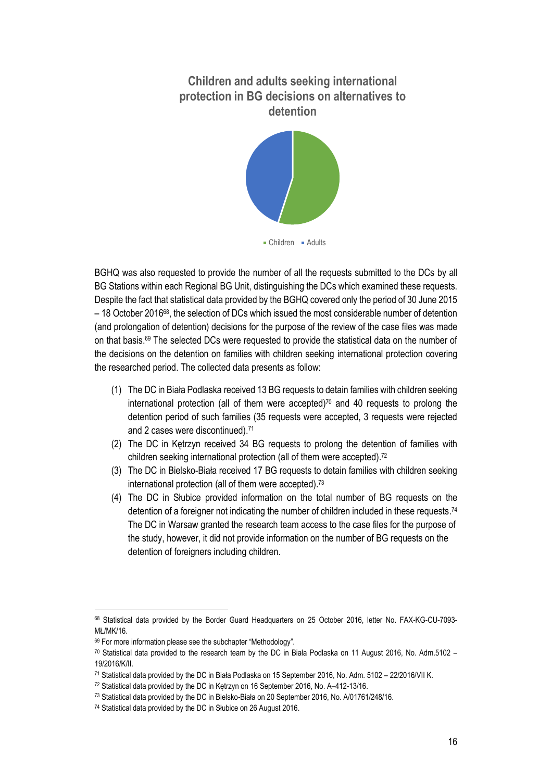# **Children and adults seeking international protection in BG decisions on alternatives to detention**



BGHQ was also requested to provide the number of all the requests submitted to the DCs by all BG Stations within each Regional BG Unit, distinguishing the DCs which examined these requests. Despite the fact that statistical data provided by the BGHQ covered only the period of 30 June 2015  $-$  18 October 2016<sup>68</sup>, the selection of DCs which issued the most considerable number of detention (and prolongation of detention) decisions for the purpose of the review of the case files was made on that basis. <sup>69</sup> The selected DCs were requested to provide the statistical data on the number of the decisions on the detention on families with children seeking international protection covering the researched period. The collected data presents as follow:

- (1) The DC in Biała Podlaska received 13 BG requests to detain families with children seeking international protection (all of them were accepted) $70$  and 40 requests to prolong the detention period of such families (35 requests were accepted, 3 requests were rejected and 2 cases were discontinued). 71
- (2) The DC in Kętrzyn received 34 BG requests to prolong the detention of families with children seeking international protection (all of them were accepted). 72
- (3) The DC in Bielsko-Biała received 17 BG requests to detain families with children seeking international protection (all of them were accepted). 73
- (4) The DC in Słubice provided information on the total number of BG requests on the detention of a foreigner not indicating the number of children included in these requests.<sup>74</sup> The DC in Warsaw granted the research team access to the case files for the purpose of the study, however, it did not provide information on the number of BG requests on the detention of foreigners including children.

 $\overline{a}$ <sup>68</sup> Statistical data provided by the Border Guard Headquarters on 25 October 2016, letter No. FAX-KG-CU-7093- MŁ/MK/16.

<sup>69</sup> For more information please see the subchapter "Methodology".

<sup>70</sup> Statistical data provided to the research team by the DC in Biała Podlaska on 11 August 2016, No. Adm.5102 – 19/2016/K/II.

<sup>71</sup> Statistical data provided by the DC in Biała Podlaska on 15 September 2016, No. Adm. 5102 – 22/2016/VII K.

<sup>72</sup> Statistical data provided by the DC in Kętrzyn on 16 September 2016, No. A–412-13/16.

<sup>73</sup> Statistical data provided by the DC in Bielsko-Biała on 20 September 2016, No. A/01761/248/16.

<sup>74</sup> Statistical data provided by the DC in Słubice on 26 August 2016.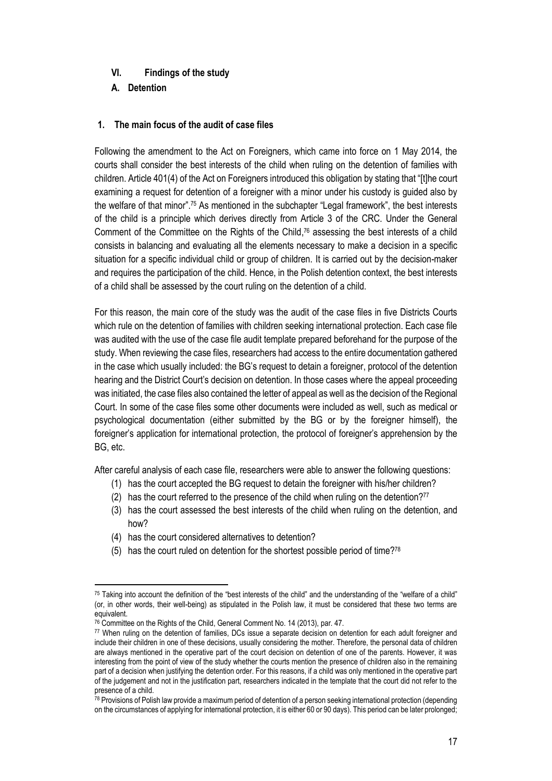### <span id="page-16-0"></span>**VI. Findings of the study**

<span id="page-16-1"></span>**A. Detention**

### <span id="page-16-2"></span>**1. The main focus of the audit of case files**

Following the amendment to the Act on Foreigners, which came into force on 1 May 2014, the courts shall consider the best interests of the child when ruling on the detention of families with children. Article 401(4) of the Act on Foreigners introduced this obligation by stating that "[t]he court examining a request for detention of a foreigner with a minor under his custody is guided also by the welfare of that minor".<sup>75</sup> As mentioned in the subchapter "Legal framework", the best interests of the child is a principle which derives directly from Article 3 of the CRC. Under the General Comment of the Committee on the Rights of the Child, <sup>76</sup> assessing the best interests of a child consists in balancing and evaluating all the elements necessary to make a decision in a specific situation for a specific individual child or group of children. It is carried out by the decision-maker and requires the participation of the child. Hence, in the Polish detention context, the best interests of a child shall be assessed by the court ruling on the detention of a child.

For this reason, the main core of the study was the audit of the case files in five Districts Courts which rule on the detention of families with children seeking international protection. Each case file was audited with the use of the case file audit template prepared beforehand for the purpose of the study. When reviewing the case files, researchers had access to the entire documentation gathered in the case which usually included: the BG's request to detain a foreigner, protocol of the detention hearing and the District Court's decision on detention. In those cases where the appeal proceeding was initiated, the case files also contained the letter of appeal as well as the decision of the Regional Court. In some of the case files some other documents were included as well, such as medical or psychological documentation (either submitted by the BG or by the foreigner himself), the foreigner's application for international protection, the protocol of foreigner's apprehension by the BG, etc.

After careful analysis of each case file, researchers were able to answer the following questions:

- (1) has the court accepted the BG request to detain the foreigner with his/her children?
- (2) has the court referred to the presence of the child when ruling on the detention? $77$
- (3) has the court assessed the best interests of the child when ruling on the detention, and how?
- (4) has the court considered alternatives to detention?
- (5) has the court ruled on detention for the shortest possible period of time?<sup>78</sup>

 $\overline{a}$ <sup>75</sup> Taking into account the definition of the "best interests of the child" and the understanding of the "welfare of a child" (or, in other words, their well-being) as stipulated in the Polish law, it must be considered that these two terms are equivalent.

<sup>&</sup>lt;sup>76</sup> Committee on the Rights of the Child, General Comment No. 14 (2013), par. 47.

<sup>77</sup> When ruling on the detention of families, DCs issue a separate decision on detention for each adult foreigner and include their children in one of these decisions, usually considering the mother. Therefore, the personal data of children are always mentioned in the operative part of the court decision on detention of one of the parents. However, it was interesting from the point of view of the study whether the courts mention the presence of children also in the remaining part of a decision when justifying the detention order. For this reasons, if a child was only mentioned in the operative part of the judgement and not in the justification part, researchers indicated in the template that the court did not refer to the presence of a child.

<sup>78</sup> Provisions of Polish law provide a maximum period of detention of a person seeking international protection (depending on the circumstances of applying for international protection, it is either 60 or 90 days). This period can be later prolonged;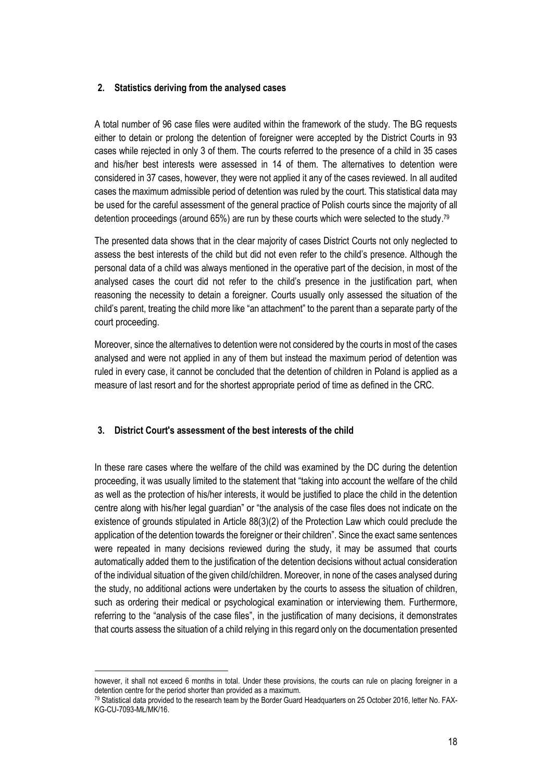### <span id="page-17-0"></span>**2. Statistics deriving from the analysed cases**

A total number of 96 case files were audited within the framework of the study. The BG requests either to detain or prolong the detention of foreigner were accepted by the District Courts in 93 cases while rejected in only 3 of them. The courts referred to the presence of a child in 35 cases and his/her best interests were assessed in 14 of them. The alternatives to detention were considered in 37 cases, however, they were not applied it any of the cases reviewed. In all audited cases the maximum admissible period of detention was ruled by the court. This statistical data may be used for the careful assessment of the general practice of Polish courts since the majority of all detention proceedings (around 65%) are run by these courts which were selected to the study.<sup>79</sup>

The presented data shows that in the clear majority of cases District Courts not only neglected to assess the best interests of the child but did not even refer to the child's presence. Although the personal data of a child was always mentioned in the operative part of the decision, in most of the analysed cases the court did not refer to the child's presence in the justification part, when reasoning the necessity to detain a foreigner. Courts usually only assessed the situation of the child's parent, treating the child more like "an attachment" to the parent than a separate party of the court proceeding.

Moreover, since the alternatives to detention were not considered by the courts in most of the cases analysed and were not applied in any of them but instead the maximum period of detention was ruled in every case, it cannot be concluded that the detention of children in Poland is applied as a measure of last resort and for the shortest appropriate period of time as defined in the CRC.

### <span id="page-17-1"></span>**3. District Court's assessment of the best interests of the child**

In these rare cases where the welfare of the child was examined by the DC during the detention proceeding, it was usually limited to the statement that "taking into account the welfare of the child as well as the protection of his/her interests, it would be justified to place the child in the detention centre along with his/her legal guardian" or "the analysis of the case files does not indicate on the existence of grounds stipulated in Article 88(3)(2) of the Protection Law which could preclude the application of the detention towards the foreigner or their children". Since the exact same sentences were repeated in many decisions reviewed during the study, it may be assumed that courts automatically added them to the justification of the detention decisions without actual consideration of the individual situation of the given child/children. Moreover, in none of the cases analysed during the study, no additional actions were undertaken by the courts to assess the situation of children, such as ordering their medical or psychological examination or interviewing them. Furthermore, referring to the "analysis of the case files", in the justification of many decisions, it demonstrates that courts assess the situation of a child relying in this regard only on the documentation presented

 $\overline{a}$ however, it shall not exceed 6 months in total. Under these provisions, the courts can rule on placing foreigner in a detention centre for the period shorter than provided as a maximum.

<sup>79</sup> Statistical data provided to the research team by the Border Guard Headquarters on 25 October 2016, letter No. FAX-KG-CU-7093-MŁ/MK/16.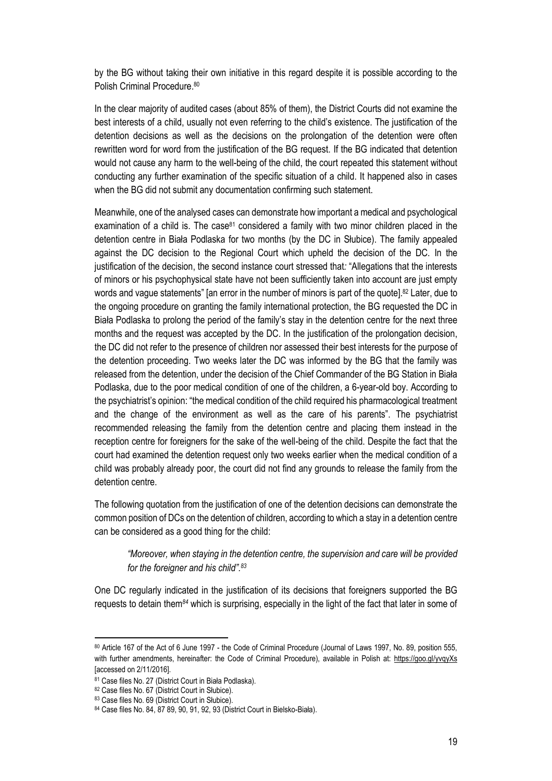by the BG without taking their own initiative in this regard despite it is possible according to the Polish Criminal Procedure. 80

In the clear majority of audited cases (about 85% of them), the District Courts did not examine the best interests of a child, usually not even referring to the child's existence. The justification of the detention decisions as well as the decisions on the prolongation of the detention were often rewritten word for word from the justification of the BG request. If the BG indicated that detention would not cause any harm to the well-being of the child, the court repeated this statement without conducting any further examination of the specific situation of a child. It happened also in cases when the BG did not submit any documentation confirming such statement.

Meanwhile, one of the analysed cases can demonstrate how important a medical and psychological examination of a child is. The case $81$  considered a family with two minor children placed in the detention centre in Biała Podlaska for two months (by the DC in Słubice). The family appealed against the DC decision to the Regional Court which upheld the decision of the DC. In the justification of the decision, the second instance court stressed that*:* "Allegations that the interests of minors or his psychophysical state have not been sufficiently taken into account are just empty words and vague statements" [an error in the number of minors is part of the quote].<sup>82</sup> Later, due to the ongoing procedure on granting the family international protection, the BG requested the DC in Biała Podlaska to prolong the period of the family's stay in the detention centre for the next three months and the request was accepted by the DC. In the justification of the prolongation decision, the DC did not refer to the presence of children nor assessed their best interests for the purpose of the detention proceeding. Two weeks later the DC was informed by the BG that the family was released from the detention, under the decision of the Chief Commander of the BG Station in Biała Podlaska, due to the poor medical condition of one of the children, a 6-year-old boy. According to the psychiatrist's opinion: "the medical condition of the child required his pharmacological treatment and the change of the environment as well as the care of his parents". The psychiatrist recommended releasing the family from the detention centre and placing them instead in the reception centre for foreigners for the sake of the well-being of the child. Despite the fact that the court had examined the detention request only two weeks earlier when the medical condition of a child was probably already poor, the court did not find any grounds to release the family from the detention centre.

The following quotation from the justification of one of the detention decisions can demonstrate the common position of DCs on the detention of children, according to which a stay in a detention centre can be considered as a good thing for the child:

### *"Moreover, when staying in the detention centre, the supervision and care will be provided for the foreigner and his child". 83*

One DC regularly indicated in the justification of its decisions that foreigners supported the BG requests to detain them*<sup>84</sup>* which is surprising, especially in the light of the fact that later in some of

<sup>80</sup> Article 167 of the Act of 6 June 1997 - the Code of Criminal Procedure (Journal of Laws 1997, No. 89, position 555, with further amendments, hereinafter: the Code of Criminal Procedure), available in Polish at:<https://goo.gl/yvqyXs> [accessed on 2/11/2016].

<sup>81</sup> Case files No. 27 (District Court in Biała Podlaska).

<sup>82</sup> Case files No. 67 (District Court in Słubice).

<sup>83</sup> Case files No. 69 (District Court in Słubice).

<sup>84</sup> Case files No. 84, 87 89, 90, 91, 92, 93 (District Court in Bielsko-Biała).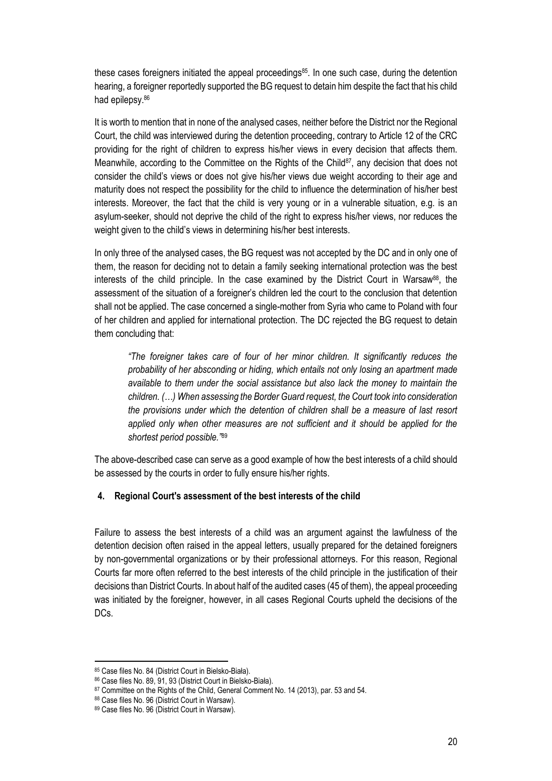these cases foreigners initiated the appeal proceedings<sup>85</sup>. In one such case, during the detention hearing, a foreigner reportedly supported the BG request to detain him despite the fact that his child had epilepsy. 86

It is worth to mention that in none of the analysed cases, neither before the District nor the Regional Court, the child was interviewed during the detention proceeding, contrary to Article 12 of the CRC providing for the right of children to express his/her views in every decision that affects them. Meanwhile, according to the Committee on the Rights of the Child<sup>87</sup>, any decision that does not consider the child's views or does not give his/her views due weight according to their age and maturity does not respect the possibility for the child to influence the determination of his/her best interests. Moreover, the fact that the child is very young or in a vulnerable situation, e.g. is an asylum-seeker, should not deprive the child of the right to express his/her views, nor reduces the weight given to the child's views in determining his/her best interests.

In only three of the analysed cases, the BG request was not accepted by the DC and in only one of them, the reason for deciding not to detain a family seeking international protection was the best interests of the child principle. In the case examined by the District Court in Warsaw<sup>88</sup>, the assessment of the situation of a foreigner's children led the court to the conclusion that detention shall not be applied. The case concerned a single-mother from Syria who came to Poland with four of her children and applied for international protection. The DC rejected the BG request to detain them concluding that:

*"The foreigner takes care of four of her minor children. It significantly reduces the probability of her absconding or hiding, which entails not only losing an apartment made available to them under the social assistance but also lack the money to maintain the children. (…) When assessing the Border Guard request, the Court took into consideration the provisions under which the detention of children shall be a measure of last resort*  applied only when other measures are not sufficient and it should be applied for the *shortest period possible."*<sup>89</sup>

The above-described case can serve as a good example of how the best interests of a child should be assessed by the courts in order to fully ensure his/her rights.

### <span id="page-19-0"></span>**4. Regional Court's assessment of the best interests of the child**

Failure to assess the best interests of a child was an argument against the lawfulness of the detention decision often raised in the appeal letters, usually prepared for the detained foreigners by non-governmental organizations or by their professional attorneys. For this reason, Regional Courts far more often referred to the best interests of the child principle in the justification of their decisions than District Courts. In about half of the audited cases (45 of them), the appeal proceeding was initiated by the foreigner, however, in all cases Regional Courts upheld the decisions of the DCs.

 $\overline{\phantom{a}}$ 

<sup>85</sup> Case files No. 84 (District Court in Bielsko-Biała).

<sup>86</sup> Case files No. 89, 91, 93 (District Court in Bielsko-Biała).

<sup>87</sup> Committee on the Rights of the Child, General Comment No. 14 (2013), par. 53 and 54.

<sup>88</sup> Case files No. 96 (District Court in Warsaw).

<sup>89</sup> Case files No. 96 (District Court in Warsaw).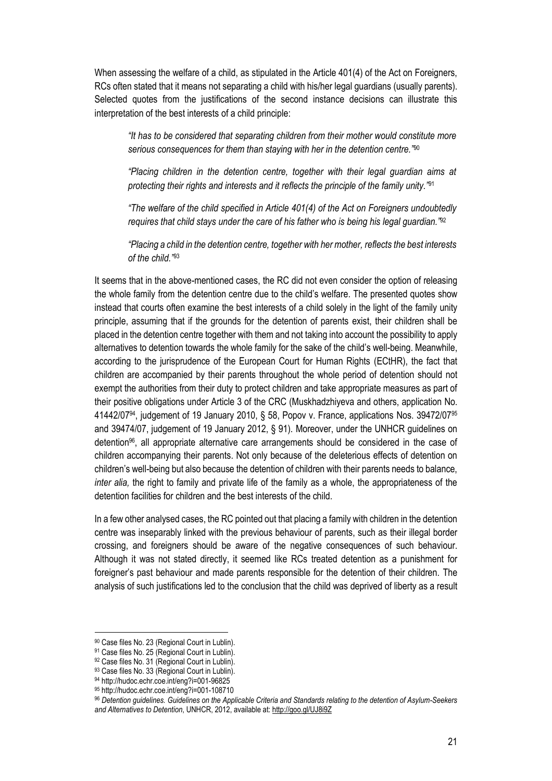When assessing the welfare of a child, as stipulated in the Article 401(4) of the Act on Foreigners, RCs often stated that it means not separating a child with his/her legal guardians (usually parents). Selected quotes from the justifications of the second instance decisions can illustrate this interpretation of the best interests of a child principle:

*"It has to be considered that separating children from their mother would constitute more serious consequences for them than staying with her in the detention centre."*<sup>90</sup>

*"Placing children in the detention centre, together with their legal guardian aims at protecting their rights and interests and it reflects the principle of the family unity."*<sup>91</sup>

*"The welfare of the child specified in Article 401(4) of the Act on Foreigners undoubtedly requires that child stays under the care of his father who is being his legal guardian."*<sup>92</sup>

*"Placing a child in the detention centre, together with her mother, reflects the best interests of the child."*<sup>93</sup>

It seems that in the above-mentioned cases, the RC did not even consider the option of releasing the whole family from the detention centre due to the child's welfare. The presented quotes show instead that courts often examine the best interests of a child solely in the light of the family unity principle, assuming that if the grounds for the detention of parents exist, their children shall be placed in the detention centre together with them and not taking into account the possibility to apply alternatives to detention towards the whole family for the sake of the child's well-being. Meanwhile, according to the jurisprudence of the European Court for Human Rights (ECtHR), the fact that children are accompanied by their parents throughout the whole period of detention should not exempt the authorities from their duty to protect children and take appropriate measures as part of their positive obligations under Article 3 of the CRC (Muskhadzhiyeva and others, application No. 41442/0794, judgement of 19 January 2010, § 58, Popov v. France, applications Nos. 39472/07<sup>95</sup> and 39474/07, judgement of 19 January 2012, § 91). Moreover, under the UNHCR guidelines on detention96, all appropriate alternative care arrangements should be considered in the case of children accompanying their parents. Not only because of the deleterious effects of detention on children's well-being but also because the detention of children with their parents needs to balance, *inter alia,* the right to family and private life of the family as a whole, the appropriateness of the detention facilities for children and the best interests of the child.

In a few other analysed cases, the RC pointed out that placing a family with children in the detention centre was inseparably linked with the previous behaviour of parents, such as their illegal border crossing, and foreigners should be aware of the negative consequences of such behaviour. Although it was not stated directly, it seemed like RCs treated detention as a punishment for foreigner's past behaviour and made parents responsible for the detention of their children. The analysis of such justifications led to the conclusion that the child was deprived of liberty as a result

<sup>90</sup> Case files No. 23 (Regional Court in Lublin).

<sup>&</sup>lt;sup>91</sup> Case files No. 25 (Regional Court in Lublin).

<sup>92</sup> Case files No. 31 (Regional Court in Lublin).

<sup>93</sup> Case files No. 33 (Regional Court in Lublin).

<sup>94</sup> http://hudoc.echr.coe.int/eng?i=001-96825

<sup>95</sup> http://hudoc.echr.coe.int/eng?i=001-108710

<sup>96</sup> *Detention guidelines. Guidelines on the Applicable Criteria and Standards relating to the detention of Asylum-Seekers and Alternatives to Detention*, UNHCR, 2012, available at[: http://goo.gl/UJ8i9Z](http://goo.gl/UJ8i9Z)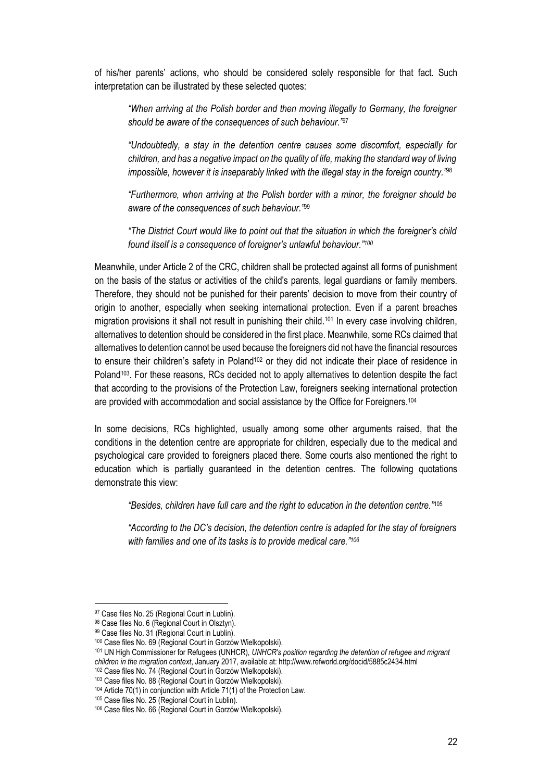of his/her parents' actions, who should be considered solely responsible for that fact. Such interpretation can be illustrated by these selected quotes:

*"When arriving at the Polish border and then moving illegally to Germany, the foreigner should be aware of the consequences of such behaviour."*<sup>97</sup>

*"Undoubtedly, a stay in the detention centre causes some discomfort, especially for children, and has a negative impact on the quality of life, making the standard way of living impossible, however it is inseparably linked with the illegal stay in the foreign country."*<sup>98</sup>

*"Furthermore, when arriving at the Polish border with a minor, the foreigner should be aware of the consequences of such behaviour."*<sup>99</sup>

*"The District Court would like to point out that the situation in which the foreigner's child found itself is a consequence of foreigner's unlawful behaviour." 100*

Meanwhile, under Article 2 of the CRC, children shall be protected against all forms of punishment on the basis of the status or activities of the child's parents, legal guardians or family members. Therefore, they should not be punished for their parents' decision to move from their country of origin to another, especially when seeking international protection. Even if a parent breaches migration provisions it shall not result in punishing their child. <sup>101</sup> In every case involving children, alternatives to detention should be considered in the first place. Meanwhile, some RCs claimed that alternatives to detention cannot be used because the foreigners did not have the financial resources to ensure their children's safety in Poland<sup>102</sup> or they did not indicate their place of residence in Poland<sup>103</sup>. For these reasons, RCs decided not to apply alternatives to detention despite the fact that according to the provisions of the Protection Law, foreigners seeking international protection are provided with accommodation and social assistance by the Office for Foreigners.<sup>104</sup>

In some decisions, RCs highlighted, usually among some other arguments raised, that the conditions in the detention centre are appropriate for children, especially due to the medical and psychological care provided to foreigners placed there. Some courts also mentioned the right to education which is partially guaranteed in the detention centres. The following quotations demonstrate this view:

*"Besides, children have full care and the right to education in the detention centre."*<sup>105</sup>

*"According to the DC's decision, the detention centre is adapted for the stay of foreigners with families and one of its tasks is to provide medical care."<sup>106</sup>*

<sup>97</sup> Case files No. 25 (Regional Court in Lublin).

<sup>98</sup> Case files No. 6 (Regional Court in Olsztyn).

<sup>99</sup> Case files No. 31 (Regional Court in Lublin).

<sup>100</sup> Case files No. 69 (Regional Court in Gorzów Wielkopolski).

<sup>101</sup> UN High Commissioner for Refugees (UNHCR), *UNHCR's position regarding the detention of refugee and migrant children in the migration context*, January 2017, available at: http://www.refworld.org/docid/5885c2434.html

<sup>102</sup> Case files No. 74 (Regional Court in Gorzów Wielkopolski).

<sup>103</sup> Case files No. 88 (Regional Court in Gorzów Wielkopolski). <sup>104</sup> Article 70(1) in conjunction with Article 71(1) of the Protection Law.

<sup>105</sup> Case files No. 25 (Regional Court in Lublin).

<sup>106</sup> Case files No. 66 (Regional Court in Gorzów Wielkopolski).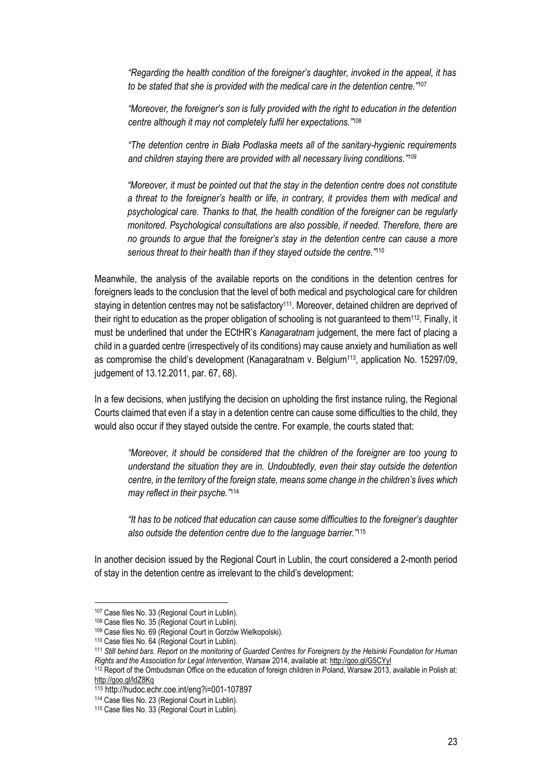*"Regarding the health condition of the foreigner's daughter, invoked in the appeal, it has to be stated that she is provided with the medical care in the detention centre."*<sup>107</sup>

*"Moreover, the foreigner's son is fully provided with the right to education in the detention centre although it may not completely fulfil her expectations."*<sup>108</sup>

*"The detention centre in Biała Podlaska meets all of the sanitary-hygienic requirements and children staying there are provided with all necessary living conditions." 109*

*"Moreover, it must be pointed out that the stay in the detention centre does not constitute a threat to the foreigner's health or life, in contrary, it provides them with medical and psychological care. Thanks to that, the health condition of the foreigner can be regularly monitored. Psychological consultations are also possible, if needed. Therefore, there are no grounds to argue that the foreigner's stay in the detention centre can cause a more serious threat to their health than if they stayed outside the centre."*<sup>110</sup>

Meanwhile, the analysis of the available reports on the conditions in the detention centres for foreigners leads to the conclusion that the level of both medical and psychological care for children staying in detention centres may not be satisfactory<sup>111</sup>. Moreover, detained children are deprived of their right to education as the proper obligation of schooling is not guaranteed to them<sup>112</sup> . Finally, it must be underlined that under the ECtHR's *Kanagaratnam* judgement, the mere fact of placing a child in a guarded centre (irrespectively of its conditions) may cause anxiety and humiliation as well as compromise the child's development (Kanagaratnam v. Belgium<sup>113</sup>, application No. 15297/09, judgement of 13.12.2011, par. 67, 68).

In a few decisions, when justifying the decision on upholding the first instance ruling, the Regional Courts claimed that even if a stay in a detention centre can cause some difficulties to the child, they would also occur if they stayed outside the centre. For example, the courts stated that:

*"Moreover, it should be considered that the children of the foreigner are too young to understand the situation they are in. Undoubtedly, even their stay outside the detention centre, in the territory of the foreign state, means some change in the children's lives which may reflect in their psyche."*<sup>114</sup>

*"It has to be noticed that education can cause some difficulties to the foreigner's daughter also outside the detention centre due to the language barrier."*<sup>115</sup>

In another decision issued by the Regional Court in Lublin, the court considered a 2-month period of stay in the detention centre as irrelevant to the child's development:

<sup>107</sup> Case files No. 33 (Regional Court in Lublin).

<sup>108</sup> Case files No. 35 (Regional Court in Lublin).

<sup>109</sup> Case files No. 69 (Regional Court in Gorzów Wielkopolski).

<sup>110</sup> Case files No. 64 (Regional Court in Lublin).

<sup>111</sup> *Still behind bars. Report on the monitoring of Guarded Centres for Foreigners by the Helsinki Foundation for Human Rights and the Association for Legal Intervention*, Warsaw 2014, available at[: http://goo.gl/G5CYyl](http://goo.gl/G5CYyl)

<sup>&</sup>lt;sup>112</sup> Report of the Ombudsman Office on the education of foreign children in Poland, Warsaw 2013, available in Polish at: <http://goo.gl/ldZ8Kq>

<sup>113</sup> http://hudoc.echr.coe.int/eng?i=001-107897

<sup>114</sup> Case files No. 23 (Regional Court in Lublin).

<sup>115</sup> Case files No. 33 (Regional Court in Lublin).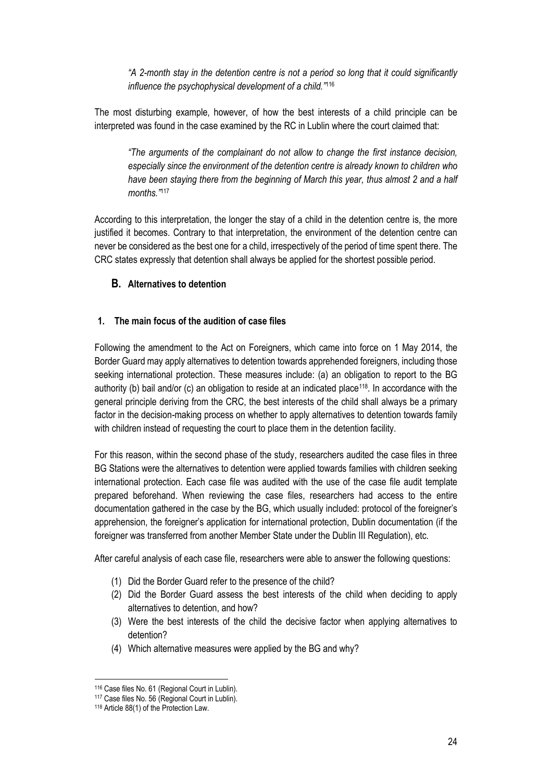*"A 2-month stay in the detention centre is not a period so long that it could significantly influence the psychophysical development of a child."*<sup>116</sup>

The most disturbing example, however, of how the best interests of a child principle can be interpreted was found in the case examined by the RC in Lublin where the court claimed that:

*"The arguments of the complainant do not allow to change the first instance decision, especially since the environment of the detention centre is already known to children who have been staying there from the beginning of March this year, thus almost 2 and a half months."*<sup>117</sup>

According to this interpretation, the longer the stay of a child in the detention centre is, the more justified it becomes. Contrary to that interpretation, the environment of the detention centre can never be considered as the best one for a child, irrespectively of the period of time spent there. The CRC states expressly that detention shall always be applied for the shortest possible period.

## <span id="page-23-0"></span>**B. Alternatives to detention**

### <span id="page-23-1"></span>**1. The main focus of the audition of case files**

Following the amendment to the Act on Foreigners, which came into force on 1 May 2014, the Border Guard may apply alternatives to detention towards apprehended foreigners, including those seeking international protection. These measures include: (a) an obligation to report to the BG authority (b) bail and/or (c) an obligation to reside at an indicated place<sup>118</sup>. In accordance with the general principle deriving from the CRC, the best interests of the child shall always be a primary factor in the decision-making process on whether to apply alternatives to detention towards family with children instead of requesting the court to place them in the detention facility.

For this reason, within the second phase of the study, researchers audited the case files in three BG Stations were the alternatives to detention were applied towards families with children seeking international protection. Each case file was audited with the use of the case file audit template prepared beforehand. When reviewing the case files, researchers had access to the entire documentation gathered in the case by the BG, which usually included: protocol of the foreigner's apprehension, the foreigner's application for international protection, Dublin documentation (if the foreigner was transferred from another Member State under the Dublin III Regulation), etc.

After careful analysis of each case file, researchers were able to answer the following questions:

- (1) Did the Border Guard refer to the presence of the child?
- (2) Did the Border Guard assess the best interests of the child when deciding to apply alternatives to detention, and how?
- (3) Were the best interests of the child the decisive factor when applying alternatives to detention?
- (4) Which alternative measures were applied by the BG and why?

 $\overline{\phantom{a}}$ <sup>116</sup> Case files No. 61 (Regional Court in Lublin).

<sup>117</sup> Case files No. 56 (Regional Court in Lublin).

<sup>118</sup> Article 88(1) of the Protection Law.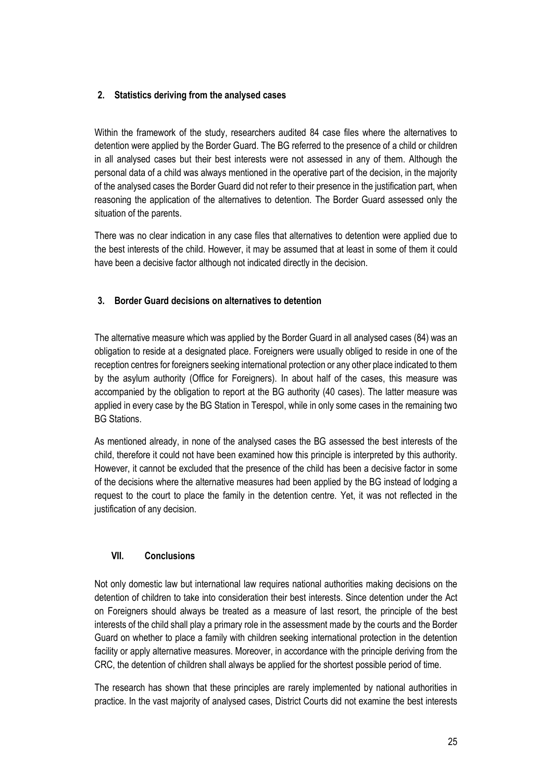## <span id="page-24-0"></span>**2. Statistics deriving from the analysed cases**

Within the framework of the study, researchers audited 84 case files where the alternatives to detention were applied by the Border Guard. The BG referred to the presence of a child or children in all analysed cases but their best interests were not assessed in any of them. Although the personal data of a child was always mentioned in the operative part of the decision, in the majority of the analysed cases the Border Guard did not refer to their presence in the justification part, when reasoning the application of the alternatives to detention. The Border Guard assessed only the situation of the parents.

There was no clear indication in any case files that alternatives to detention were applied due to the best interests of the child. However, it may be assumed that at least in some of them it could have been a decisive factor although not indicated directly in the decision.

## <span id="page-24-1"></span>**3. Border Guard decisions on alternatives to detention**

The alternative measure which was applied by the Border Guard in all analysed cases (84) was an obligation to reside at a designated place. Foreigners were usually obliged to reside in one of the reception centres for foreigners seeking international protection or any other place indicated to them by the asylum authority (Office for Foreigners). In about half of the cases, this measure was accompanied by the obligation to report at the BG authority (40 cases). The latter measure was applied in every case by the BG Station in Terespol, while in only some cases in the remaining two BG Stations.

As mentioned already, in none of the analysed cases the BG assessed the best interests of the child, therefore it could not have been examined how this principle is interpreted by this authority. However, it cannot be excluded that the presence of the child has been a decisive factor in some of the decisions where the alternative measures had been applied by the BG instead of lodging a request to the court to place the family in the detention centre. Yet, it was not reflected in the justification of any decision.

### <span id="page-24-2"></span>**VII. Conclusions**

Not only domestic law but international law requires national authorities making decisions on the detention of children to take into consideration their best interests. Since detention under the Act on Foreigners should always be treated as a measure of last resort, the principle of the best interests of the child shall play a primary role in the assessment made by the courts and the Border Guard on whether to place a family with children seeking international protection in the detention facility or apply alternative measures. Moreover, in accordance with the principle deriving from the CRC, the detention of children shall always be applied for the shortest possible period of time.

The research has shown that these principles are rarely implemented by national authorities in practice. In the vast majority of analysed cases, District Courts did not examine the best interests